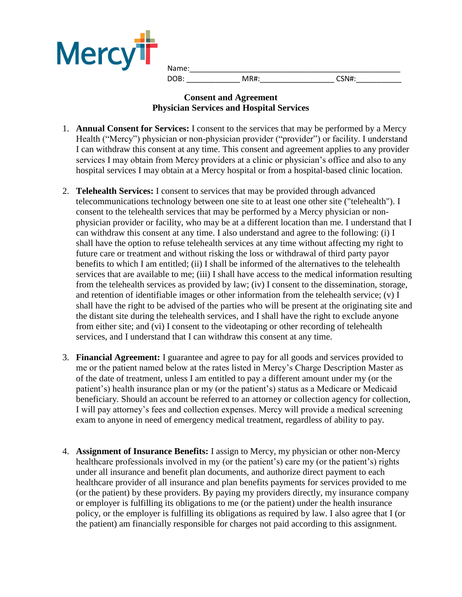

Name:\_\_\_\_\_\_\_\_\_\_\_\_\_\_\_\_\_\_\_\_\_\_\_\_\_\_\_\_\_\_\_\_\_\_\_\_\_\_\_\_\_\_\_\_\_\_\_\_\_\_\_ DOB: MR#: CSN#:

## **Consent and Agreement Physician Services and Hospital Services**

- 1. **Annual Consent for Services:** I consent to the services that may be performed by a Mercy Health ("Mercy") physician or non-physician provider ("provider") or facility. I understand I can withdraw this consent at any time. This consent and agreement applies to any provider services I may obtain from Mercy providers at a clinic or physician's office and also to any hospital services I may obtain at a Mercy hospital or from a hospital-based clinic location.
- 2. **Telehealth Services:** I consent to services that may be provided through advanced telecommunications technology between one site to at least one other site ("telehealth"). I consent to the telehealth services that may be performed by a Mercy physician or nonphysician provider or facility, who may be at a different location than me. I understand that I can withdraw this consent at any time. I also understand and agree to the following: (i) I shall have the option to refuse telehealth services at any time without affecting my right to future care or treatment and without risking the loss or withdrawal of third party payor benefits to which I am entitled; (ii) I shall be informed of the alternatives to the telehealth services that are available to me; (iii) I shall have access to the medical information resulting from the telehealth services as provided by law; (iv) I consent to the dissemination, storage, and retention of identifiable images or other information from the telehealth service; (v) I shall have the right to be advised of the parties who will be present at the originating site and the distant site during the telehealth services, and I shall have the right to exclude anyone from either site; and (vi) I consent to the videotaping or other recording of telehealth services, and I understand that I can withdraw this consent at any time.
- 3. **Financial Agreement:** I guarantee and agree to pay for all goods and services provided to me or the patient named below at the rates listed in Mercy's Charge Description Master as of the date of treatment, unless I am entitled to pay a different amount under my (or the patient's) health insurance plan or my (or the patient's) status as a Medicare or Medicaid beneficiary. Should an account be referred to an attorney or collection agency for collection, I will pay attorney's fees and collection expenses. Mercy will provide a medical screening exam to anyone in need of emergency medical treatment, regardless of ability to pay.
- 4. **Assignment of Insurance Benefits:** I assign to Mercy, my physician or other non-Mercy healthcare professionals involved in my (or the patient's) care my (or the patient's) rights under all insurance and benefit plan documents, and authorize direct payment to each healthcare provider of all insurance and plan benefits payments for services provided to me (or the patient) by these providers. By paying my providers directly, my insurance company or employer is fulfilling its obligations to me (or the patient) under the health insurance policy, or the employer is fulfilling its obligations as required by law. I also agree that I (or the patient) am financially responsible for charges not paid according to this assignment.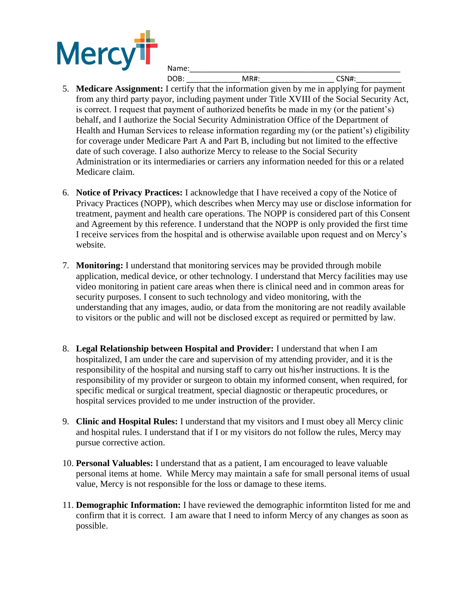

| _______ |  |
|---------|--|

- 5. **Medicare Assignment:** I certify that the information given by me in applying for payment from any third party payor, including payment under Title XVIII of the Social Security Act, is correct. I request that payment of authorized benefits be made in my (or the patient's) behalf, and I authorize the Social Security Administration Office of the Department of Health and Human Services to release information regarding my (or the patient's) eligibility for coverage under Medicare Part A and Part B, including but not limited to the effective date of such coverage. I also authorize Mercy to release to the Social Security Administration or its intermediaries or carriers any information needed for this or a related Medicare claim.
- 6. **Notice of Privacy Practices:** I acknowledge that I have received a copy of the Notice of Privacy Practices (NOPP), which describes when Mercy may use or disclose information for treatment, payment and health care operations. The NOPP is considered part of this Consent and Agreement by this reference. I understand that the NOPP is only provided the first time I receive services from the hospital and is otherwise available upon request and on Mercy's website.
- 7. **Monitoring:** I understand that monitoring services may be provided through mobile application, medical device, or other technology. I understand that Mercy facilities may use video monitoring in patient care areas when there is clinical need and in common areas for security purposes. I consent to such technology and video monitoring, with the understanding that any images, audio, or data from the monitoring are not readily available to visitors or the public and will not be disclosed except as required or permitted by law.
- 8. **Legal Relationship between Hospital and Provider:** I understand that when I am hospitalized, I am under the care and supervision of my attending provider, and it is the responsibility of the hospital and nursing staff to carry out his/her instructions. It is the responsibility of my provider or surgeon to obtain my informed consent, when required, for specific medical or surgical treatment, special diagnostic or therapeutic procedures, or hospital services provided to me under instruction of the provider.
- 9. **Clinic and Hospital Rules:** I understand that my visitors and I must obey all Mercy clinic and hospital rules. I understand that if I or my visitors do not follow the rules, Mercy may pursue corrective action.
- 10. **Personal Valuables:** I understand that as a patient, I am encouraged to leave valuable personal items at home. While Mercy may maintain a safe for small personal items of usual value, Mercy is not responsible for the loss or damage to these items.
- 11. **Demographic Information:** I have reviewed the demographic informtiton listed for me and confirm that it is correct. I am aware that I need to inform Mercy of any changes as soon as possible.